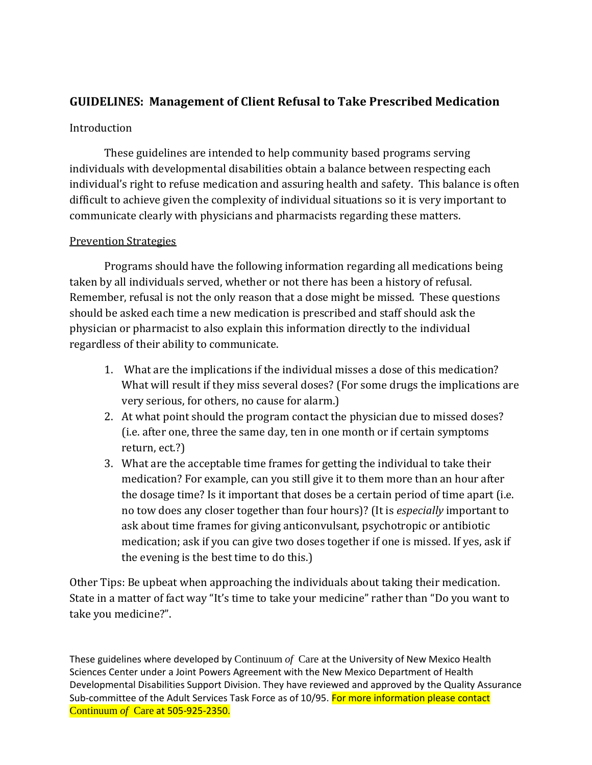# **GUIDELINES: Management of Client Refusal to Take Prescribed Medication**

### Introduction

These guidelines are intended to help community based programs serving individuals with developmental disabilities obtain a balance between respecting each individual's right to refuse medication and assuring health and safety. This balance is often difficult to achieve given the complexity of individual situations so it is very important to communicate clearly with physicians and pharmacists regarding these matters.

## Prevention Strategies

Programs should have the following information regarding all medications being taken by all individuals served, whether or not there has been a history of refusal. Remember, refusal is not the only reason that a dose might be missed. These questions should be asked each time a new medication is prescribed and staff should ask the physician or pharmacist to also explain this information directly to the individual regardless of their ability to communicate.

- 1. What are the implications if the individual misses a dose of this medication? What will result if they miss several doses? (For some drugs the implications are very serious, for others, no cause for alarm.)
- 2. At what point should the program contact the physician due to missed doses? (i.e. after one, three the same day, ten in one month or if certain symptoms return, ect.?)
- 3. What are the acceptable time frames for getting the individual to take their medication? For example, can you still give it to them more than an hour after the dosage time? Is it important that doses be a certain period of time apart (i.e. no tow does any closer together than four hours)? (It is *especially* important to ask about time frames for giving anticonvulsant, psychotropic or antibiotic medication; ask if you can give two doses together if one is missed. If yes, ask if the evening is the best time to do this.)

Other Tips: Be upbeat when approaching the individuals about taking their medication. State in a matter of fact way "It's time to take your medicine" rather than "Do you want to take you medicine?".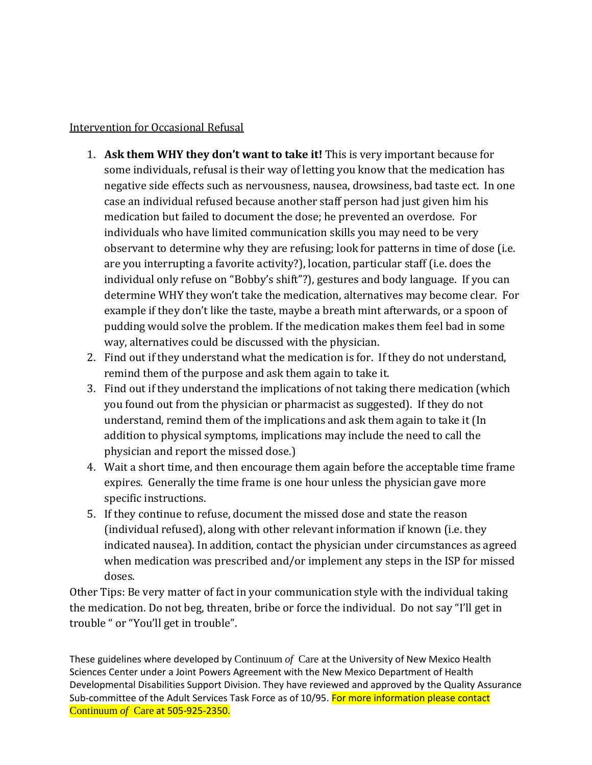#### Intervention for Occasional Refusal

- 1. **Ask them WHY they don't want to take it!** This is very important because for some individuals, refusal is their way of letting you know that the medication has negative side effects such as nervousness, nausea, drowsiness, bad taste ect. In one case an individual refused because another staff person had just given him his medication but failed to document the dose; he prevented an overdose. For individuals who have limited communication skills you may need to be very observant to determine why they are refusing; look for patterns in time of dose (i.e. are you interrupting a favorite activity?), location, particular staff (i.e. does the individual only refuse on "Bobby's shift"?), gestures and body language. If you can determine WHY they won't take the medication, alternatives may become clear. For example if they don't like the taste, maybe a breath mint afterwards, or a spoon of pudding would solve the problem. If the medication makes them feel bad in some way, alternatives could be discussed with the physician.
- 2. Find out if they understand what the medication is for. If they do not understand, remind them of the purpose and ask them again to take it.
- 3. Find out if they understand the implications of not taking there medication (which you found out from the physician or pharmacist as suggested). If they do not understand, remind them of the implications and ask them again to take it (In addition to physical symptoms, implications may include the need to call the physician and report the missed dose.)
- 4. Wait a short time, and then encourage them again before the acceptable time frame expires. Generally the time frame is one hour unless the physician gave more specific instructions.
- 5. If they continue to refuse, document the missed dose and state the reason (individual refused), along with other relevant information if known (i.e. they indicated nausea). In addition, contact the physician under circumstances as agreed when medication was prescribed and/or implement any steps in the ISP for missed doses.

Other Tips: Be very matter of fact in your communication style with the individual taking the medication. Do not beg, threaten, bribe or force the individual. Do not say "I'll get in trouble " or "You'll get in trouble".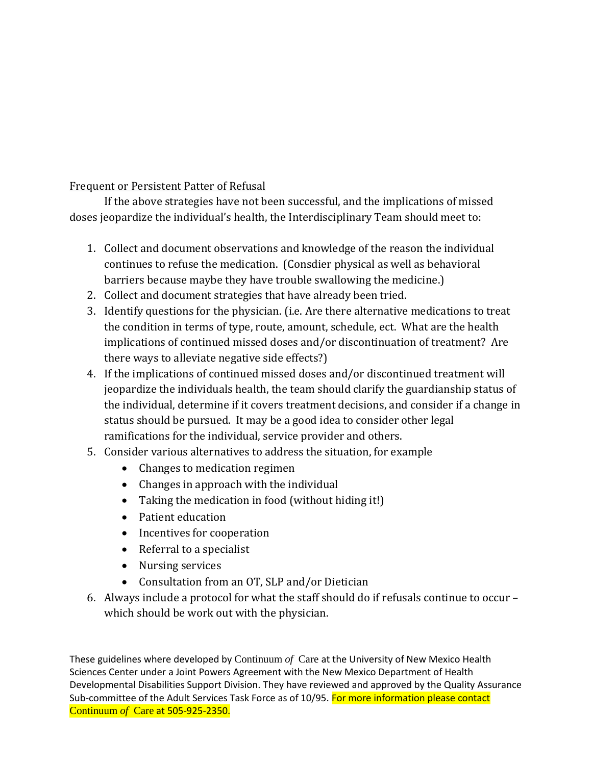Frequent or Persistent Patter of Refusal

If the above strategies have not been successful, and the implications of missed doses jeopardize the individual's health, the Interdisciplinary Team should meet to:

- 1. Collect and document observations and knowledge of the reason the individual continues to refuse the medication. (Consdier physical as well as behavioral barriers because maybe they have trouble swallowing the medicine.)
- 2. Collect and document strategies that have already been tried.
- 3. Identify questions for the physician. (i.e. Are there alternative medications to treat the condition in terms of type, route, amount, schedule, ect. What are the health implications of continued missed doses and/or discontinuation of treatment? Are there ways to alleviate negative side effects?)
- 4. If the implications of continued missed doses and/or discontinued treatment will jeopardize the individuals health, the team should clarify the guardianship status of the individual, determine if it covers treatment decisions, and consider if a change in status should be pursued. It may be a good idea to consider other legal ramifications for the individual, service provider and others.
- 5. Consider various alternatives to address the situation, for example
	- Changes to medication regimen
	- Changes in approach with the individual
	- Taking the medication in food (without hiding it!)
	- Patient education
	- Incentives for cooperation
	- Referral to a specialist
	- Nursing services
	- Consultation from an OT, SLP and/or Dietician
- 6. Always include a protocol for what the staff should do if refusals continue to occur which should be work out with the physician.